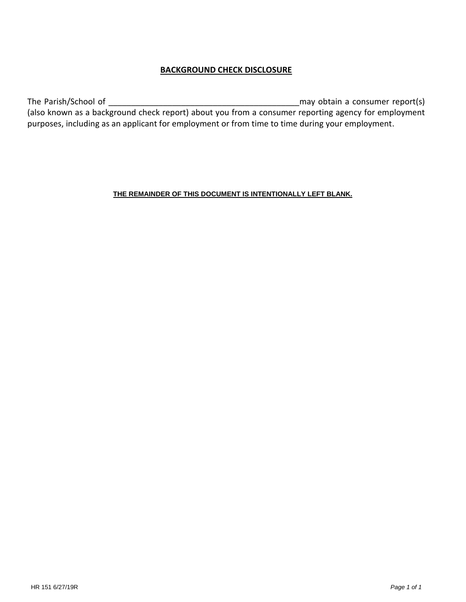## **BACKGROUND CHECK DISCLOSURE**

The Parish/School of \_\_\_\_\_\_\_\_\_\_\_\_\_\_\_\_\_\_\_\_\_\_\_\_\_\_\_\_\_\_\_\_\_\_\_\_\_\_\_\_\_\_may obtain a consumer report(s) (also known as a background check report) about you from a consumer reporting agency for employment purposes, including as an applicant for employment or from time to time during your employment.

### **THE REMAINDER OF THIS DOCUMENT IS INTENTIONALLY LEFT BLANK.**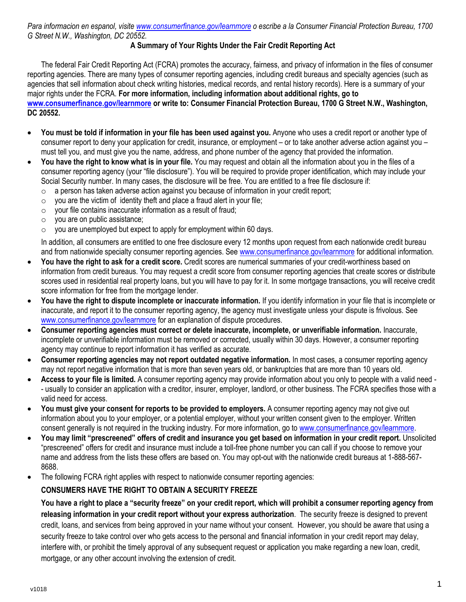*Para informacion en espanol, visite [www.consumerfinance.gov/learnmore](http://www.consumerfinance.gov/learnmore) o escribe a la Consumer Financial Protection Bureau, 1700 G Street N.W., Washington, DC 20552.*

## **A Summary of Your Rights Under the Fair Credit Reporting Act**

The federal Fair Credit Reporting Act (FCRA) promotes the accuracy, fairness, and privacy of information in the files of consumer reporting agencies. There are many types of consumer reporting agencies, including credit bureaus and specialty agencies (such as agencies that sell information about check writing histories, medical records, and rental history records). Here is a summary of your major rights under the FCRA. **For more information, including information about additional rights, go to [www.consumerfinance.gov/learnmore](http://www.consumerfinance.gov/learnmore) or write to: Consumer Financial Protection Bureau, 1700 G Street N.W., Washington, DC 20552.**

- **You must be told if information in your file has been used against you.** Anyone who uses a credit report or another type of consumer report to deny your application for credit, insurance, or employment – or to take another adverse action against you – must tell you, and must give you the name, address, and phone number of the agency that provided the information.
- **You have the right to know what is in your file.** You may request and obtain all the information about you in the files of a consumer reporting agency (your "file disclosure"). You will be required to provide proper identification, which may include your Social Security number. In many cases, the disclosure will be free. You are entitled to a free file disclosure if:
	- $\circ$  a person has taken adverse action against you because of information in your credit report;
	- $\circ$  you are the victim of identity theft and place a fraud alert in your file;
	- $\circ$  your file contains inaccurate information as a result of fraud;
	- o you are on public assistance;
	- $\circ$  you are unemployed but expect to apply for employment within 60 days.

In addition, all consumers are entitled to one free disclosure every 12 months upon request from each nationwide credit bureau and from nationwide specialty consumer reporting agencies. See [www.consumerfinance.gov/learnmore](http://www.consumerfinance.gov/learnmore) for additional information.

- **You have the right to ask for a credit score.** Credit scores are numerical summaries of your credit-worthiness based on information from credit bureaus. You may request a credit score from consumer reporting agencies that create scores or distribute scores used in residential real property loans, but you will have to pay for it. In some mortgage transactions, you will receive credit score information for free from the mortgage lender.
- **You have the right to dispute incomplete or inaccurate information.** If you identify information in your file that is incomplete or inaccurate, and report it to the consumer reporting agency, the agency must investigate unless your dispute is frivolous. See [www.consumerfinance.gov/learnmore](http://www.consumerfinance.gov/learnmore) for an explanation of dispute procedures.
- **Consumer reporting agencies must correct or delete inaccurate, incomplete, or unverifiable information.** Inaccurate, incomplete or unverifiable information must be removed or corrected, usually within 30 days. However, a consumer reporting agency may continue to report information it has verified as accurate.
- **Consumer reporting agencies may not report outdated negative information.** In most cases, a consumer reporting agency may not report negative information that is more than seven years old, or bankruptcies that are more than 10 years old.
- **Access to your file is limited.** A consumer reporting agency may provide information about you only to people with a valid need - usually to consider an application with a creditor, insurer, employer, landlord, or other business. The FCRA specifies those with a valid need for access.
- **You must give your consent for reports to be provided to employers.** A consumer reporting agency may not give out information about you to your employer, or a potential employer, without your written consent given to the employer. Written consent generally is not required in the trucking industry. For more information, go to [www.consumerfinance.gov/learnmore.](http://www.consumerfinance.gov/learnmore)
- **You may limit "prescreened" offers of credit and insurance you get based on information in your credit report.** Unsolicited "prescreened" offers for credit and insurance must include a toll-free phone number you can call if you choose to remove your name and address from the lists these offers are based on. You may opt-out with the nationwide credit bureaus at 1-888-567- 8688.
- The following FCRA right applies with respect to nationwide consumer reporting agencies:

# **CONSUMERS HAVE THE RIGHT TO OBTAIN A SECURITY FREEZE**

**You have a right to place a "security freeze" on your credit report, which will prohibit a consumer reporting agency from releasing information in your credit report without your express authorization**. The security freeze is designed to prevent credit, loans, and services from being approved in your name without your consent. However, you should be aware that using a security freeze to take control over who gets access to the personal and financial information in your credit report may delay, interfere with, or prohibit the timely approval of any subsequent request or application you make regarding a new loan, credit, mortgage, or any other account involving the extension of credit.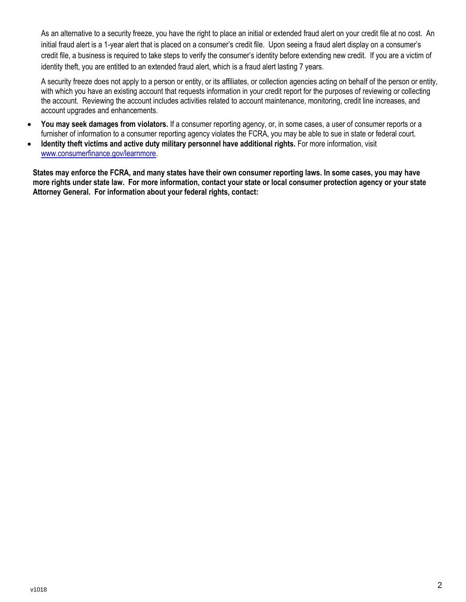As an alternative to a security freeze, you have the right to place an initial or extended fraud alert on your credit file at no cost. An initial fraud alert is a 1-year alert that is placed on a consumer's credit file. Upon seeing a fraud alert display on a consumer's credit file, a business is required to take steps to verify the consumer's identity before extending new credit. If you are a victim of identity theft, you are entitled to an extended fraud alert, which is a fraud alert lasting 7 years.

A security freeze does not apply to a person or entity, or its affiliates, or collection agencies acting on behalf of the person or entity, with which you have an existing account that requests information in your credit report for the purposes of reviewing or collecting the account. Reviewing the account includes activities related to account maintenance, monitoring, credit line increases, and account upgrades and enhancements.

- **You may seek damages from violators.** If a consumer reporting agency, or, in some cases, a user of consumer reports or a furnisher of information to a consumer reporting agency violates the FCRA, you may be able to sue in state or federal court.
- **Identity theft victims and active duty military personnel have additional rights.** For more information, visit [www.consumerfinance.gov/learnmore.](http://www.consumerfinance.gov/learnmore)

**States may enforce the FCRA, and many states have their own consumer reporting laws. In some cases, you may have more rights under state law. For more information, contact your state or local consumer protection agency or your state Attorney General. For information about your federal rights, contact:**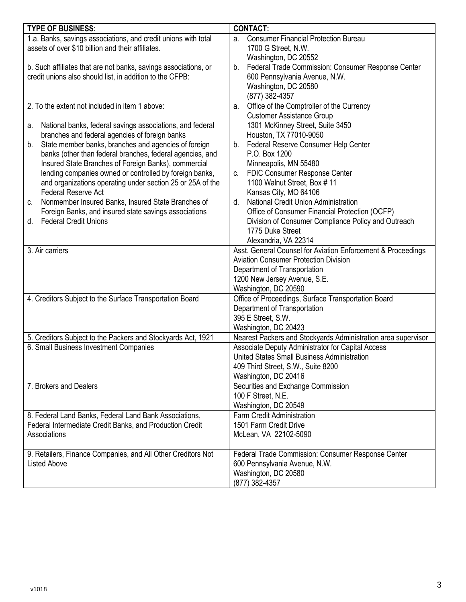| <b>TYPE OF BUSINESS:</b>                                        | <b>CONTACT:</b>                                                                      |  |
|-----------------------------------------------------------------|--------------------------------------------------------------------------------------|--|
| 1.a. Banks, savings associations, and credit unions with total  | <b>Consumer Financial Protection Bureau</b><br>a.                                    |  |
| assets of over \$10 billion and their affiliates.               | 1700 G Street, N.W.                                                                  |  |
|                                                                 | Washington, DC 20552                                                                 |  |
| b. Such affiliates that are not banks, savings associations, or | Federal Trade Commission: Consumer Response Center<br>b.                             |  |
| credit unions also should list, in addition to the CFPB:        | 600 Pennsylvania Avenue, N.W.                                                        |  |
|                                                                 | Washington, DC 20580                                                                 |  |
|                                                                 | (877) 382-4357                                                                       |  |
| 2. To the extent not included in item 1 above:                  | Office of the Comptroller of the Currency<br>a.                                      |  |
|                                                                 | <b>Customer Assistance Group</b>                                                     |  |
| National banks, federal savings associations, and federal<br>a. | 1301 McKinney Street, Suite 3450                                                     |  |
| branches and federal agencies of foreign banks                  | Houston, TX 77010-9050                                                               |  |
| State member banks, branches and agencies of foreign<br>b.      | b. Federal Reserve Consumer Help Center                                              |  |
| banks (other than federal branches, federal agencies, and       | P.O. Box 1200                                                                        |  |
| Insured State Branches of Foreign Banks), commercial            | Minneapolis, MN 55480                                                                |  |
| lending companies owned or controlled by foreign banks,         | FDIC Consumer Response Center<br>C.                                                  |  |
| and organizations operating under section 25 or 25A of the      | 1100 Walnut Street, Box #11                                                          |  |
| Federal Reserve Act                                             | Kansas City, MO 64106                                                                |  |
| Nonmember Insured Banks, Insured State Branches of<br>C.        | <b>National Credit Union Administration</b><br>$d_{-}$                               |  |
| Foreign Banks, and insured state savings associations           | Office of Consumer Financial Protection (OCFP)                                       |  |
| <b>Federal Credit Unions</b><br>d.                              | Division of Consumer Compliance Policy and Outreach                                  |  |
|                                                                 | 1775 Duke Street                                                                     |  |
|                                                                 |                                                                                      |  |
| 3. Air carriers                                                 | Alexandria, VA 22314<br>Asst. General Counsel for Aviation Enforcement & Proceedings |  |
|                                                                 | <b>Aviation Consumer Protection Division</b>                                         |  |
|                                                                 |                                                                                      |  |
|                                                                 | Department of Transportation                                                         |  |
|                                                                 | 1200 New Jersey Avenue, S.E.                                                         |  |
|                                                                 | Washington, DC 20590                                                                 |  |
| 4. Creditors Subject to the Surface Transportation Board        | Office of Proceedings, Surface Transportation Board                                  |  |
|                                                                 | Department of Transportation                                                         |  |
|                                                                 | 395 E Street, S.W.                                                                   |  |
|                                                                 | Washington, DC 20423                                                                 |  |
| 5. Creditors Subject to the Packers and Stockyards Act, 1921    | Nearest Packers and Stockyards Administration area supervisor                        |  |
| 6. Small Business Investment Companies                          | Associate Deputy Administrator for Capital Access                                    |  |
|                                                                 | United States Small Business Administration                                          |  |
|                                                                 | 409 Third Street, S.W., Suite 8200                                                   |  |
|                                                                 | Washington, DC 20416                                                                 |  |
| 7. Brokers and Dealers                                          | Securities and Exchange Commission                                                   |  |
|                                                                 | 100 F Street, N.E.                                                                   |  |
|                                                                 | Washington, DC 20549                                                                 |  |
| 8. Federal Land Banks, Federal Land Bank Associations,          | Farm Credit Administration                                                           |  |
| Federal Intermediate Credit Banks, and Production Credit        | 1501 Farm Credit Drive                                                               |  |
| Associations                                                    | McLean, VA 22102-5090                                                                |  |
|                                                                 |                                                                                      |  |
| 9. Retailers, Finance Companies, and All Other Creditors Not    | Federal Trade Commission: Consumer Response Center                                   |  |
| <b>Listed Above</b>                                             | 600 Pennsylvania Avenue, N.W.                                                        |  |
|                                                                 | Washington, DC 20580                                                                 |  |
|                                                                 | (877) 382-4357                                                                       |  |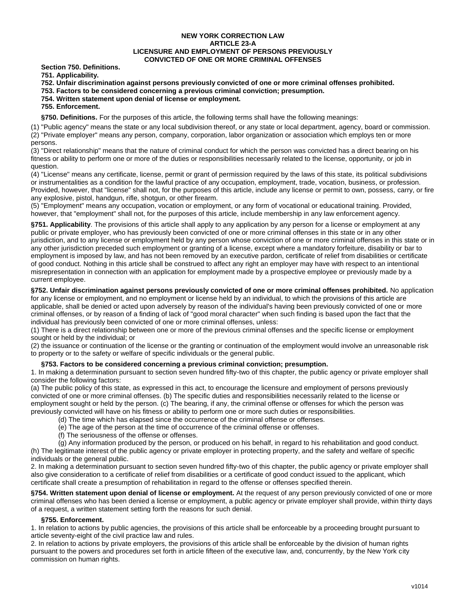#### **NEW YORK CORRECTION LAW ARTICLE 23-A LICENSURE AND EMPLOYMENT OF PERSONS PREVIOUSLY CONVICTED OF ONE OR MORE CRIMINAL OFFENSES**

**Section 750. Definitions.** 

**751. Applicability.** 

- **752. Unfair discrimination against persons previously convicted of one or more criminal offenses prohibited.**
- **753. Factors to be considered concerning a previous criminal conviction; presumption.**
- **754. Written statement upon denial of license or employment.**

**755. Enforcement.** 

**§750. Definitions.** For the purposes of this article, the following terms shall have the following meanings:

(1) "Public agency" means the state or any local subdivision thereof, or any state or local department, agency, board or commission. (2) "Private employer" means any person, company, corporation, labor organization or association which employs ten or more persons.

(3) "Direct relationship" means that the nature of criminal conduct for which the person was convicted has a direct bearing on his fitness or ability to perform one or more of the duties or responsibilities necessarily related to the license, opportunity, or job in question.

(4) "License" means any certificate, license, permit or grant of permission required by the laws of this state, its political subdivisions or instrumentalities as a condition for the lawful practice of any occupation, employment, trade, vocation, business, or profession. Provided, however, that "license" shall not, for the purposes of this article, include any license or permit to own, possess, carry, or fire any explosive, pistol, handgun, rifle, shotgun, or other firearm.

(5) "Employment" means any occupation, vocation or employment, or any form of vocational or educational training. Provided, however, that "employment" shall not, for the purposes of this article, include membership in any law enforcement agency.

**§751. Applicability**. The provisions of this article shall apply to any application by any person for a license or employment at any public or private employer, who has previously been convicted of one or more criminal offenses in this state or in any other jurisdiction, and to any license or employment held by any person whose conviction of one or more criminal offenses in this state or in any other jurisdiction preceded such employment or granting of a license, except where a mandatory forfeiture, disability or bar to employment is imposed by law, and has not been removed by an executive pardon, certificate of relief from disabilities or certificate of good conduct. Nothing in this article shall be construed to affect any right an employer may have with respect to an intentional misrepresentation in connection with an application for employment made by a prospective employee or previously made by a current employee.

#### **§752. Unfair discrimination against persons previously convicted of one or more criminal offenses prohibited.** No application

for any license or employment, and no employment or license held by an individual, to which the provisions of this article are applicable, shall be denied or acted upon adversely by reason of the individual's having been previously convicted of one or more criminal offenses, or by reason of a finding of lack of "good moral character" when such finding is based upon the fact that the individual has previously been convicted of one or more criminal offenses, unless:

(1) There is a direct relationship between one or more of the previous criminal offenses and the specific license or employment sought or held by the individual; or

(2) the issuance or continuation of the license or the granting or continuation of the employment would involve an unreasonable risk to property or to the safety or welfare of specific individuals or the general public.

#### **§753. Factors to be considered concerning a previous criminal conviction; presumption.**

1. In making a determination pursuant to section seven hundred fifty-two of this chapter, the public agency or private employer shall consider the following factors:

(a) The public policy of this state, as expressed in this act, to encourage the licensure and employment of persons previously convicted of one or more criminal offenses. (b) The specific duties and responsibilities necessarily related to the license or employment sought or held by the person. (c) The bearing, if any, the criminal offense or offenses for which the person was previously convicted will have on his fitness or ability to perform one or more such duties or responsibilities.

- (d) The time which has elapsed since the occurrence of the criminal offense or offenses.
- (e) The age of the person at the time of occurrence of the criminal offense or offenses.
- (f) The seriousness of the offense or offenses.

(g) Any information produced by the person, or produced on his behalf, in regard to his rehabilitation and good conduct. (h) The legitimate interest of the public agency or private employer in protecting property, and the safety and welfare of specific individuals or the general public.

2. In making a determination pursuant to section seven hundred fifty-two of this chapter, the public agency or private employer shall also give consideration to a certificate of relief from disabilities or a certificate of good conduct issued to the applicant, which certificate shall create a presumption of rehabilitation in regard to the offense or offenses specified therein.

**§754. Written statement upon denial of license or employment.** At the request of any person previously convicted of one or more criminal offenses who has been denied a license or employment, a public agency or private employer shall provide, within thirty days of a request, a written statement setting forth the reasons for such denial.

#### **§755. Enforcement.**

1. In relation to actions by public agencies, the provisions of this article shall be enforceable by a proceeding brought pursuant to article seventy-eight of the civil practice law and rules.

2. In relation to actions by private employers, the provisions of this article shall be enforceable by the division of human rights pursuant to the powers and procedures set forth in article fifteen of the executive law, and, concurrently, by the New York city commission on human rights.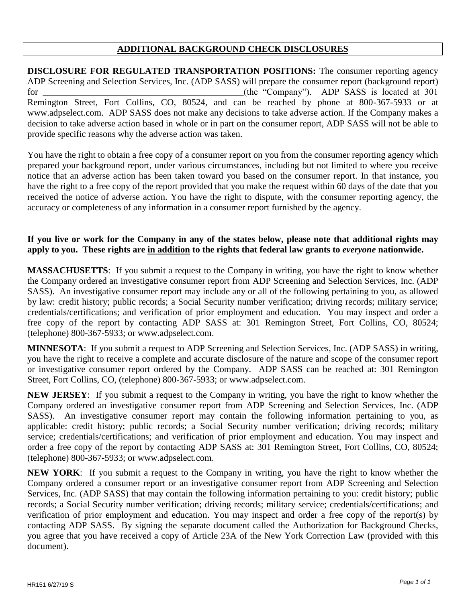# **ADDITIONAL BACKGROUND CHECK DISCLOSURES**

**DISCLOSURE FOR REGULATED TRANSPORTATION POSITIONS:** The consumer reporting agency ADP Screening and Selection Services, Inc. (ADP SASS) will prepare the consumer report (background report) for \_\_\_\_\_\_\_\_\_\_\_\_\_\_\_\_\_\_\_\_\_\_\_\_\_\_\_\_\_\_\_\_\_\_\_\_\_\_\_\_\_\_\_\_(the "Company"). ADP SASS is located at 301 Remington Street, Fort Collins, CO, 80524, and can be reached by phone at 800-367-5933 or at www.adpselect.com. ADP SASS does not make any decisions to take adverse action. If the Company makes a decision to take adverse action based in whole or in part on the consumer report, ADP SASS will not be able to provide specific reasons why the adverse action was taken.

You have the right to obtain a free copy of a consumer report on you from the consumer reporting agency which prepared your background report, under various circumstances, including but not limited to where you receive notice that an adverse action has been taken toward you based on the consumer report. In that instance, you have the right to a free copy of the report provided that you make the request within 60 days of the date that you received the notice of adverse action. You have the right to dispute, with the consumer reporting agency, the accuracy or completeness of any information in a consumer report furnished by the agency.

### **If you live or work for the Company in any of the states below, please note that additional rights may apply to you. These rights are in addition to the rights that federal law grants to** *everyone* **nationwide.**

**MASSACHUSETTS**: If you submit a request to the Company in writing, you have the right to know whether the Company ordered an investigative consumer report from ADP Screening and Selection Services, Inc. (ADP SASS). An investigative consumer report may include any or all of the following pertaining to you, as allowed by law: credit history; public records; a Social Security number verification; driving records; military service; credentials/certifications; and verification of prior employment and education. You may inspect and order a free copy of the report by contacting ADP SASS at: 301 Remington Street, Fort Collins, CO, 80524; (telephone) 800-367-5933; or www.adpselect.com.

**MINNESOTA**: If you submit a request to ADP Screening and Selection Services, Inc. (ADP SASS) in writing, you have the right to receive a complete and accurate disclosure of the nature and scope of the consumer report or investigative consumer report ordered by the Company. ADP SASS can be reached at: 301 Remington Street, Fort Collins, CO, (telephone) 800-367-5933; or www.adpselect.com.

**NEW JERSEY**: If you submit a request to the Company in writing, you have the right to know whether the Company ordered an investigative consumer report from ADP Screening and Selection Services, Inc. (ADP SASS). An investigative consumer report may contain the following information pertaining to you, as applicable: credit history; public records; a Social Security number verification; driving records; military service; credentials/certifications; and verification of prior employment and education. You may inspect and order a free copy of the report by contacting ADP SASS at: 301 Remington Street, Fort Collins, CO, 80524; (telephone) 800-367-5933; or www.adpselect.com.

**NEW YORK**: If you submit a request to the Company in writing, you have the right to know whether the Company ordered a consumer report or an investigative consumer report from ADP Screening and Selection Services, Inc. (ADP SASS) that may contain the following information pertaining to you: credit history; public records; a Social Security number verification; driving records; military service; credentials/certifications; and verification of prior employment and education. You may inspect and order a free copy of the report(s) by contacting ADP SASS. By signing the separate document called the Authorization for Background Checks, you agree that you have received a copy of Article 23A of the New York Correction Law (provided with this document).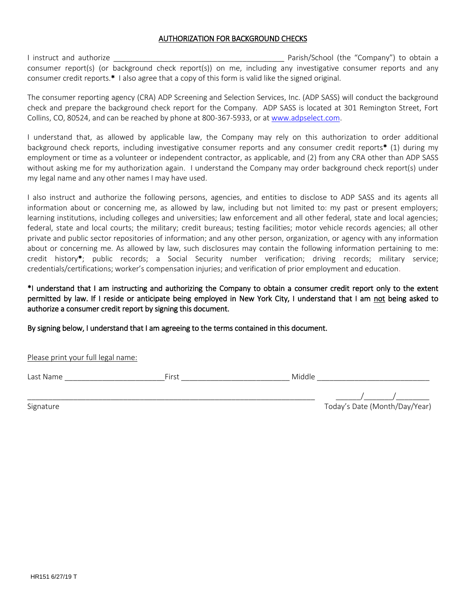### AUTHORIZATION FOR BACKGROUND CHECKS

I instruct and authorize **Example 20** and the "Company") to obtain a consumer report(s) (or background check report(s)) on me, including any investigative consumer reports and any consumer credit reports.\* I also agree that a copy of this form is valid like the signed original.

The consumer reporting agency (CRA) ADP Screening and Selection Services, Inc. (ADP SASS) will conduct the background check and prepare the background check report for the Company. ADP SASS is located at 301 Remington Street, Fort Collins, CO, 80524, and can be reached by phone at 800-367-5933, or a[t www.adpselect.com.](http://www.adpselect.com/)

I understand that, as allowed by applicable law, the Company may rely on this authorization to order additional background check reports, including investigative consumer reports and any consumer credit reports\* (1) during my employment or time as a volunteer or independent contractor, as applicable, and (2) from any CRA other than ADP SASS without asking me for my authorization again. I understand the Company may order background check report(s) under my legal name and any other names I may have used.

I also instruct and authorize the following persons, agencies, and entities to disclose to ADP SASS and its agents all information about or concerning me, as allowed by law, including but not limited to: my past or present employers; learning institutions, including colleges and universities; law enforcement and all other federal, state and local agencies; federal, state and local courts; the military; credit bureaus; testing facilities; motor vehicle records agencies; all other private and public sector repositories of information; and any other person, organization, or agency with any information about or concerning me. As allowed by law, such disclosures may contain the following information pertaining to me: credit history\*; public records; a Social Security number verification; driving records; military service; credentials/certifications; worker's compensation injuries; and verification of prior employment and education.

\*I understand that I am instructing and authorizing the Company to obtain a consumer credit report only to the extent permitted by law. If I reside or anticipate being employed in New York City, I understand that I am not being asked to authorize a consumer credit report by signing this document.

By signing below, I understand that I am agreeing to the terms contained in this document.

| Please print your full legal name: |
|------------------------------------|
|------------------------------------|

Last Name \_\_\_\_\_\_\_\_\_\_\_\_\_\_\_\_\_\_\_\_\_\_\_\_First \_\_\_\_\_\_\_\_\_\_\_\_\_\_\_\_\_\_\_\_\_\_\_\_\_\_ Middle \_\_\_\_\_\_\_\_\_\_\_\_\_\_\_\_\_\_\_\_\_\_\_\_\_\_\_

\_\_\_\_\_\_\_\_\_\_\_\_\_\_\_\_\_\_\_\_\_\_\_\_\_\_\_\_\_\_\_\_\_\_\_\_\_\_\_\_\_\_\_\_\_\_\_\_\_\_\_\_\_\_\_\_\_\_\_\_\_\_\_\_\_\_\_\_\_ \_\_\_\_\_\_/\_\_\_\_\_\_\_/\_\_\_\_\_\_\_\_ Signature Today's Date (Month/Day/Year)